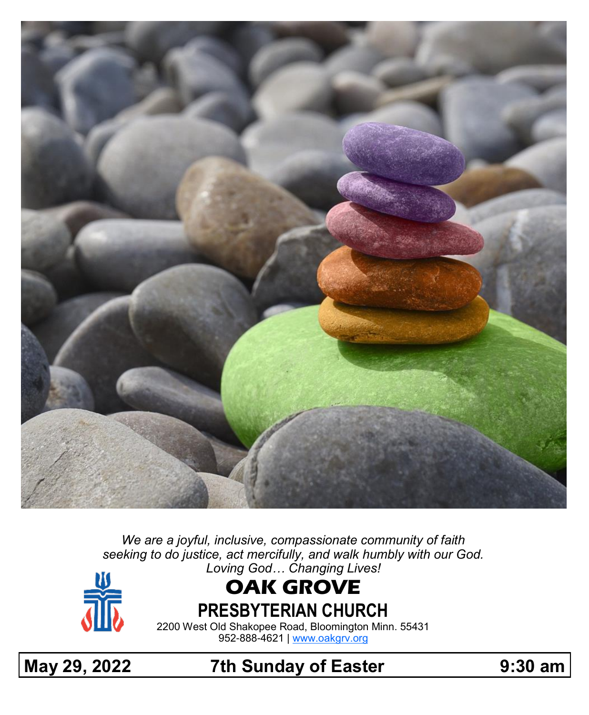

*We are a joyful, inclusive, compassionate community of faith seeking to do justice, act mercifully, and walk humbly with our God. Loving God… Changing Lives!*



# **OAK GROVE**

**PRESBYTERIAN CHURCH**

2200 West Old Shakopee Road, Bloomington Minn. 55431 952-888-4621 | [www.oakgrv.org](https://www.oakgrv.org)

**May 29, 2022 7th Sunday of Easter 9:30 am**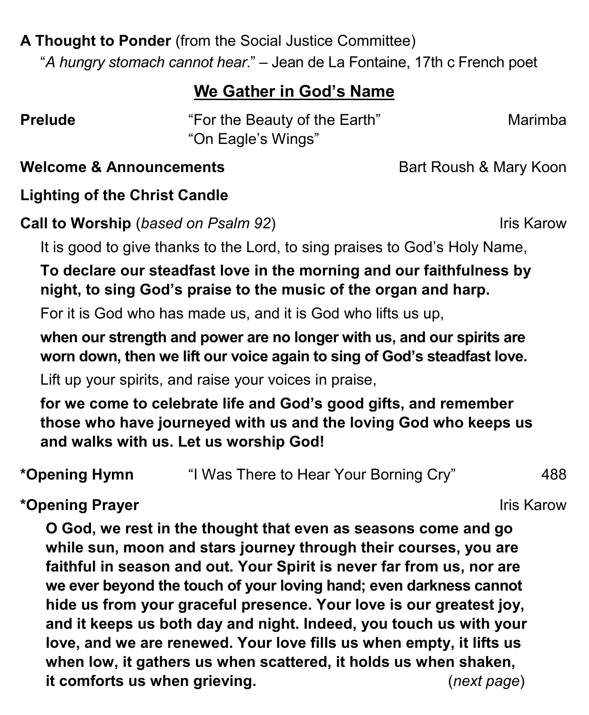## **A Thought to Ponder** (from the Social Justice Committee)

"*A hungry stomach cannot hear*." – Jean de La Fontaine, 17th c French poet

## **We Gather in God's Name**

**Prelude** "For the Beauty of the Earth" Marimba "On Eagle's Wings"

**Welcome & Announcements Bart Roush & Mary Koon** 

## **Lighting of the Christ Candle**

**Call to Worship** (*based on Psalm 92*) Iris Karow

It is good to give thanks to the Lord, to sing praises to God's Holy Name,

## **To declare our steadfast love in the morning and our faithfulness by night, to sing God's praise to the music of the organ and harp.**

For it is God who has made us, and it is God who lifts us up,

**when our strength and power are no longer with us, and our spirits are worn down, then we lift our voice again to sing of God's steadfast love.**

Lift up your spirits, and raise your voices in praise,

**for we come to celebrate life and God's good gifts, and remember those who have journeyed with us and the loving God who keeps us and walks with us. Let us worship God!**

**\*Opening Hymn** "I Was There to Hear Your Borning Cry" 488

**\*Opening Prayer Iris Karow Iris Karow** 

**O God, we rest in the thought that even as seasons come and go while sun, moon and stars journey through their courses, you are faithful in season and out. Your Spirit is never far from us, nor are we ever beyond the touch of your loving hand; even darkness cannot hide us from your graceful presence. Your love is our greatest joy, and it keeps us both day and night. Indeed, you touch us with your love, and we are renewed. Your love fills us when empty, it lifts us when low, it gathers us when scattered, it holds us when shaken, it comforts us when grieving.** (*next page*)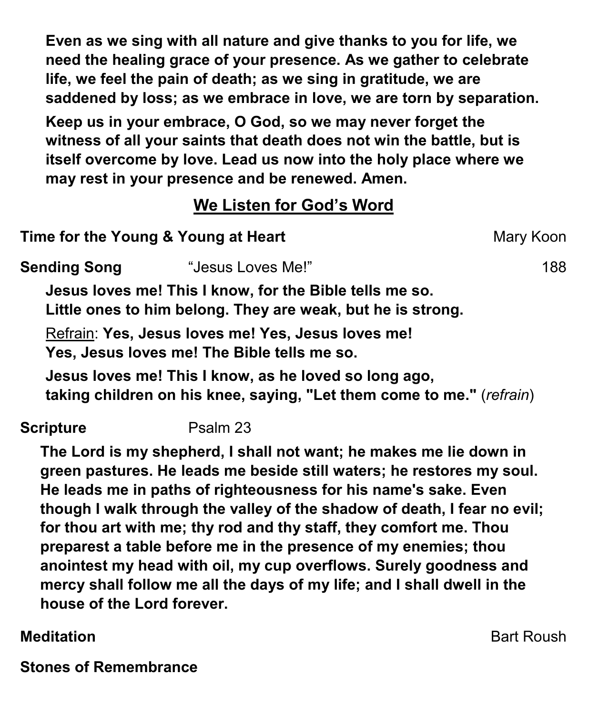**Even as we sing with all nature and give thanks to you for life, we need the healing grace of your presence. As we gather to celebrate life, we feel the pain of death; as we sing in gratitude, we are saddened by loss; as we embrace in love, we are torn by separation.**

**Keep us in your embrace, O God, so we may never forget the witness of all your saints that death does not win the battle, but is itself overcome by love. Lead us now into the holy place where we may rest in your presence and be renewed. Amen.**

## **We Listen for God's Word**

| Time for the Young & Young at Heart |                                             |                                                                                                                        | Mary Koon                                                             |
|-------------------------------------|---------------------------------------------|------------------------------------------------------------------------------------------------------------------------|-----------------------------------------------------------------------|
| <b>Sending Song</b>                 | "Jesus Loves Me!"                           |                                                                                                                        | 188                                                                   |
|                                     |                                             | Jesus loves me! This I know, for the Bible tells me so.<br>Little ones to him belong. They are weak, but he is strong. |                                                                       |
|                                     | Yes, Jesus loves me! The Bible tells me so. | Refrain: Yes, Jesus loves me! Yes, Jesus loves me!                                                                     |                                                                       |
|                                     |                                             | Jesus loves me! This I know, as he loved so long ago,                                                                  | taking children on his knee, saying, "Let them come to me." (refrain) |
| <b>Scripture</b>                    | Psalm 23                                    |                                                                                                                        |                                                                       |
|                                     |                                             |                                                                                                                        | The Lord is my shepherd, I shall not want; he makes me lie down in    |

**green pastures. He leads me beside still waters; he restores my soul. He leads me in paths of righteousness for his name's sake. Even though I walk through the valley of the shadow of death, I fear no evil; for thou art with me; thy rod and thy staff, they comfort me. Thou preparest a table before me in the presence of my enemies; thou anointest my head with oil, my cup overflows. Surely goodness and mercy shall follow me all the days of my life; and I shall dwell in the house of the Lord forever.**

**Meditation** Bart Roush

**Stones of Remembrance**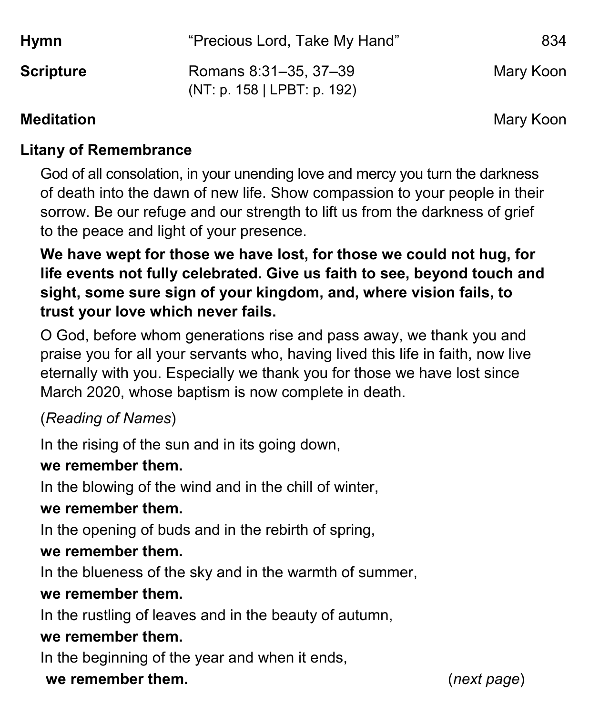| <b>Hymn</b>      | "Precious Lord, Take My Hand"                        | 834       |
|------------------|------------------------------------------------------|-----------|
| <b>Scripture</b> | Romans 8:31-35, 37-39<br>(NT: p. 158   LPBT: p. 192) | Mary Koon |

#### **Meditation** Mary Koon

#### **Litany of Remembrance**

God of all consolation, in your unending love and mercy you turn the darkness of death into the dawn of new life. Show compassion to your people in their sorrow. Be our refuge and our strength to lift us from the darkness of grief to the peace and light of your presence.

**We have wept for those we have lost, for those we could not hug, for life events not fully celebrated. Give us faith to see, beyond touch and sight, some sure sign of your kingdom, and, where vision fails, to trust your love which never fails.**

O God, before whom generations rise and pass away, we thank you and praise you for all your servants who, having lived this life in faith, now live eternally with you. Especially we thank you for those we have lost since March 2020, whose baptism is now complete in death.

## (*Reading of Names*)

In the rising of the sun and in its going down,

## **we remember them.**

In the blowing of the wind and in the chill of winter,

## **we remember them.**

In the opening of buds and in the rebirth of spring,

## **we remember them.**

In the blueness of the sky and in the warmth of summer,

## **we remember them.**

In the rustling of leaves and in the beauty of autumn,

#### **we remember them.**

In the beginning of the year and when it ends,

#### **we remember them.** (*next page*)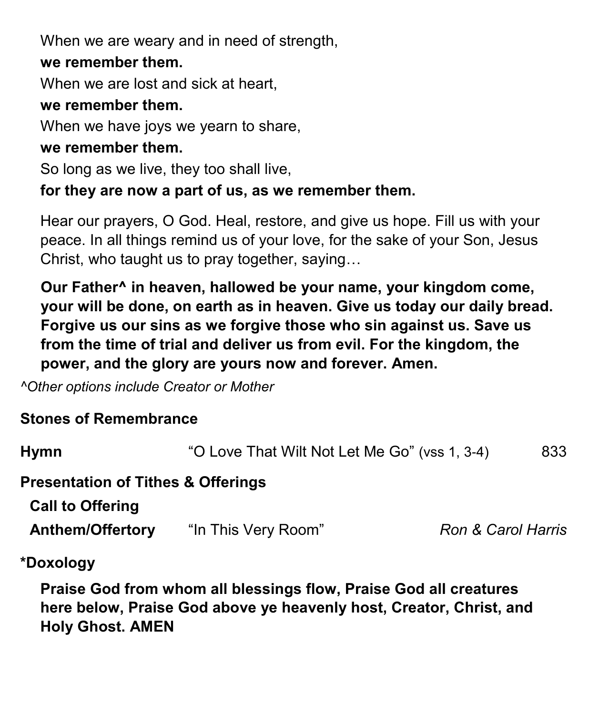When we are weary and in need of strength,

#### **we remember them.**

When we are lost and sick at heart.

#### **we remember them.**

When we have joys we yearn to share,

#### **we remember them.**

So long as we live, they too shall live,

#### **for they are now a part of us, as we remember them.**

Hear our prayers, O God. Heal, restore, and give us hope. Fill us with your peace. In all things remind us of your love, for the sake of your Son, Jesus Christ, who taught us to pray together, saying…

**Our Father^ in heaven, hallowed be your name, your kingdom come, your will be done, on earth as in heaven. Give us today our daily bread. Forgive us our sins as we forgive those who sin against us. Save us from the time of trial and deliver us from evil. For the kingdom, the power, and the glory are yours now and forever. Amen.**

*^Other options include Creator or Mother*

## **Stones of Remembrance**

| <b>Hymn</b>                                                              | "O Love That Wilt Not Let Me Go" (vss 1, 3-4) |                               | 833 |
|--------------------------------------------------------------------------|-----------------------------------------------|-------------------------------|-----|
| <b>Presentation of Tithes &amp; Offerings</b><br><b>Call to Offering</b> |                                               |                               |     |
| <b>Anthem/Offertory</b>                                                  | "In This Very Room"                           | <b>Ron &amp; Carol Harris</b> |     |
| *Doxology                                                                |                                               |                               |     |

**Praise God from whom all blessings flow, Praise God all creatures here below, Praise God above ye heavenly host, Creator, Christ, and Holy Ghost. AMEN**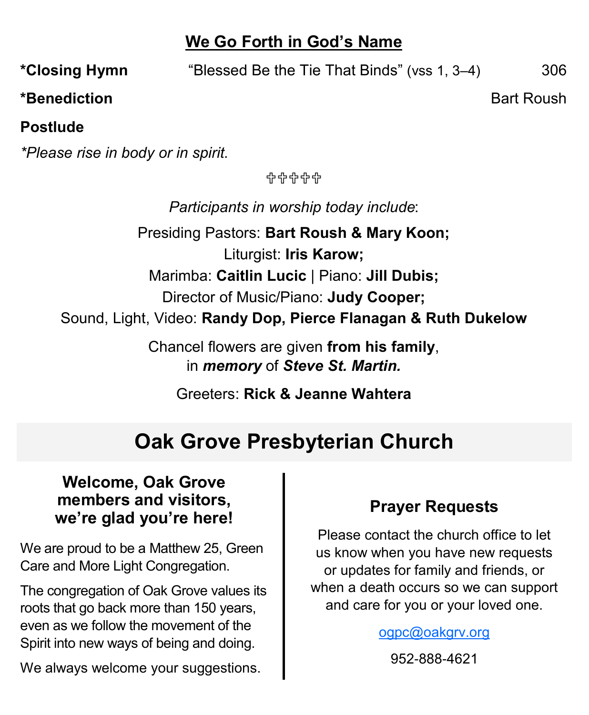## **We Go Forth in God's Name**

**\*Closing Hymn** "Blessed Be the Tie That Binds" (vss 1, 3–4) 306

**\*Benediction Bart Roush Bart Roush Bart Roush** 

#### **Postlude**

*\*Please rise in body or in spirit.*

유유유유유

*Participants in worship today include*:

Presiding Pastors: **Bart Roush & Mary Koon;** Liturgist: **Iris Karow;** Marimba: **Caitlin Lucic** | Piano: **Jill Dubis;** Director of Music/Piano: **Judy Cooper;** Sound, Light, Video: **Randy Dop, Pierce Flanagan & Ruth Dukelow**

> Chancel flowers are given **from his family**, in *memory* of *Steve St. Martin.*

> > Greeters: **Rick & Jeanne Wahtera**

## **Oak Grove Presbyterian Church**

#### **Welcome, Oak Grove members and visitors, we're glad you're here!**

We are proud to be a Matthew 25, Green Care and More Light Congregation.

The congregation of Oak Grove values its roots that go back more than 150 years, even as we follow the movement of the Spirit into new ways of being and doing.

We always welcome your suggestions.

## **Prayer Requests**

Please contact the church office to let us know when you have new requests or updates for family and friends, or when a death occurs so we can support and care for you or your loved one.

[ogpc@oakgrv.org](mailto:ogpc@oakgrv.org)

952-888-4621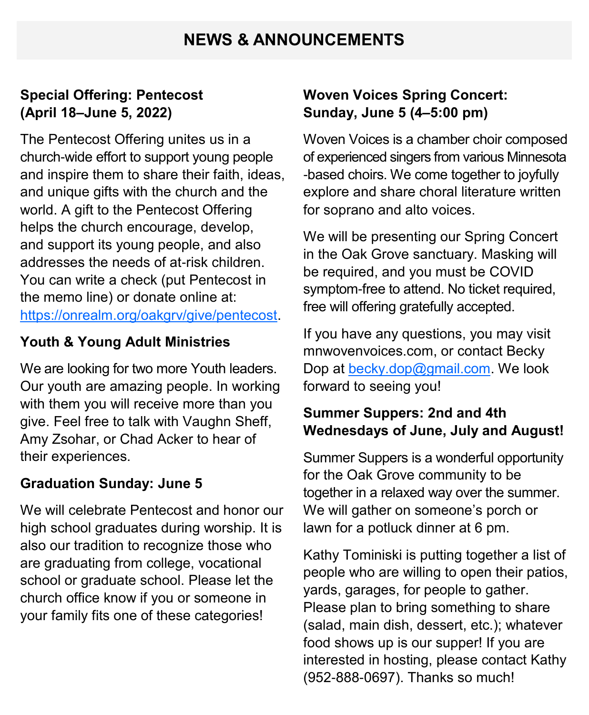## **NEWS & ANNOUNCEMENTS**

#### **Special Offering: Pentecost (April 18–June 5, 2022)**

The Pentecost Offering unites us in a church-wide effort to support young people and inspire them to share their faith, ideas, and unique gifts with the church and the world. A gift to the Pentecost Offering helps the church encourage, develop, and support its young people, and also addresses the needs of at-risk children. You can write a check (put Pentecost in the memo line) or donate online at: [https://onrealm.org/oakgrv/give/pentecost.](https://onrealm.org/oakgrv/give/pentecost)

#### **Youth & Young Adult Ministries**

We are looking for two more Youth leaders. Our youth are amazing people. In working with them you will receive more than you give. Feel free to talk with Vaughn Sheff, Amy Zsohar, or Chad Acker to hear of their experiences.

#### **Graduation Sunday: June 5**

We will celebrate Pentecost and honor our high school graduates during worship. It is also our tradition to recognize those who are graduating from college, vocational school or graduate school. Please let the church office know if you or someone in your family fits one of these categories!

#### **Woven Voices Spring Concert: Sunday, June 5 (4–5:00 pm)**

Woven Voices is a chamber choir composed of experienced singers from various Minnesota -based choirs. We come together to joyfully explore and share choral literature written for soprano and alto voices.

We will be presenting our Spring Concert in the Oak Grove sanctuary. Masking will be required, and you must be COVID symptom-free to attend. No ticket required, free will offering gratefully accepted.

If you have any questions, you may visit mnwovenvoices.com, or contact Becky Dop at [becky.dop@gmail.com.](mailto:becky.dop@gmail.com) We look forward to seeing you!

#### **Summer Suppers: 2nd and 4th Wednesdays of June, July and August!**

Summer Suppers is a wonderful opportunity for the Oak Grove community to be together in a relaxed way over the summer. We will gather on someone's porch or lawn for a potluck dinner at 6 pm.

Kathy Tominiski is putting together a list of people who are willing to open their patios, yards, garages, for people to gather. Please plan to bring something to share (salad, main dish, dessert, etc.); whatever food shows up is our supper! If you are interested in hosting, please contact Kathy (952-888-0697). Thanks so much!